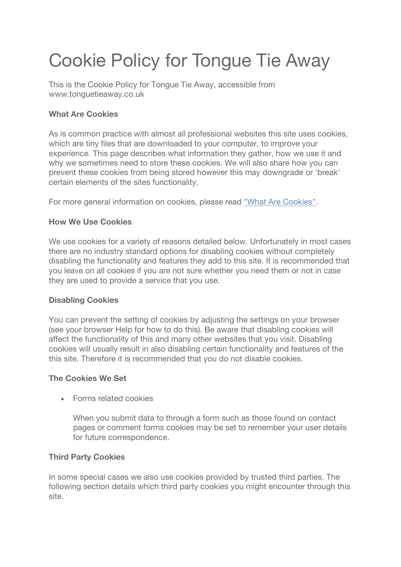# Cookie Policy for Tongue Tie Away

This is the Cookie Policy for Tongue Tie Away, accessible from www.tonguetieaway.co.uk

## **What Are Cookies**

As is common practice with almost all professional websites this site uses cookies, which are tiny files that are downloaded to your computer, to improve your experience. This page describes what information they gather, how we use it and why we sometimes need to store these cookies. We will also share how you can prevent these cookies from being stored however this may downgrade or 'break' certain elements of the sites functionality.

For more general information on cookies, please read "What Are Cookies".

### **How We Use Cookies**

We use cookies for a variety of reasons detailed below. Unfortunately in most cases there are no industry standard options for disabling cookies without completely disabling the functionality and features they add to this site. It is recommended that you leave on all cookies if you are not sure whether you need them or not in case they are used to provide a service that you use.

#### **Disabling Cookies**

You can prevent the setting of cookies by adjusting the settings on your browser (see your browser Help for how to do this). Be aware that disabling cookies will affect the functionality of this and many other websites that you visit. Disabling cookies will usually result in also disabling certain functionality and features of the this site. Therefore it is recommended that you do not disable cookies.

#### **The Cookies We Set**

• Forms related cookies

When you submit data to through a form such as those found on contact pages or comment forms cookies may be set to remember your user details for future correspondence.

## **Third Party Cookies**

In some special cases we also use cookies provided by trusted third parties. The following section details which third party cookies you might encounter through this site.